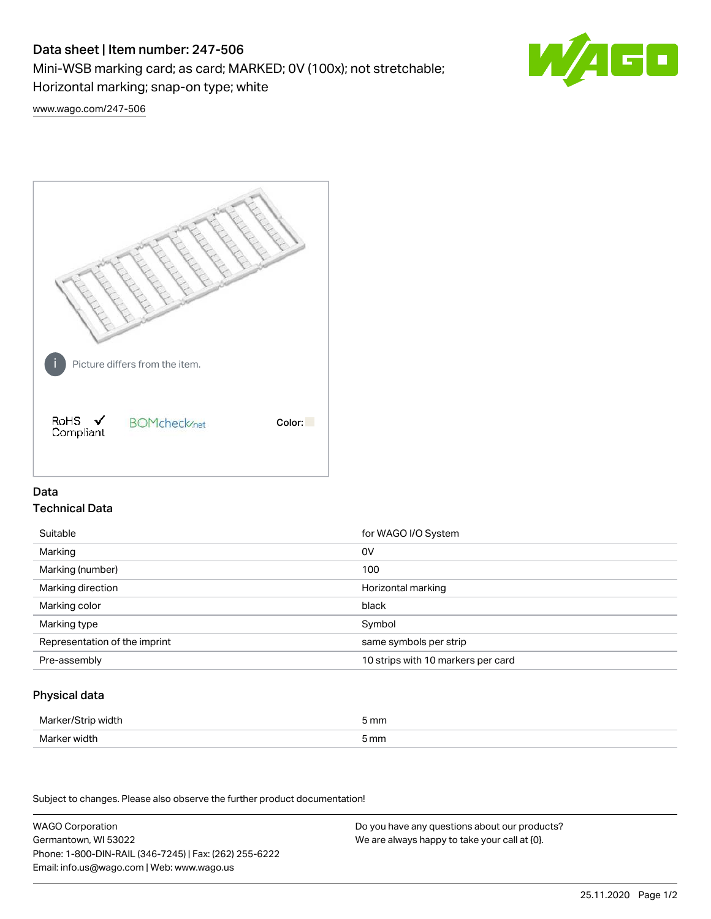# Data sheet | Item number: 247-506

Mini-WSB marking card; as card; MARKED; 0V (100x); not stretchable;

Horizontal marking; snap-on type; white



[www.wago.com/247-506](http://www.wago.com/247-506)



## Data Technical Data

| Suitable                      | for WAGO I/O System                |
|-------------------------------|------------------------------------|
| Marking                       | 0V                                 |
| Marking (number)              | 100                                |
| Marking direction             | Horizontal marking                 |
| Marking color                 | black                              |
| Marking type                  | Symbol                             |
| Representation of the imprint | same symbols per strip             |
| Pre-assembly                  | 10 strips with 10 markers per card |

## Physical data

| Marker/Strip width | 5 mm |
|--------------------|------|
| Marker width       | 5 mm |

Subject to changes. Please also observe the further product documentation!

WAGO Corporation Germantown, WI 53022 Phone: 1-800-DIN-RAIL (346-7245) | Fax: (262) 255-6222 Email: info.us@wago.com | Web: www.wago.us Do you have any questions about our products? We are always happy to take your call at {0}.